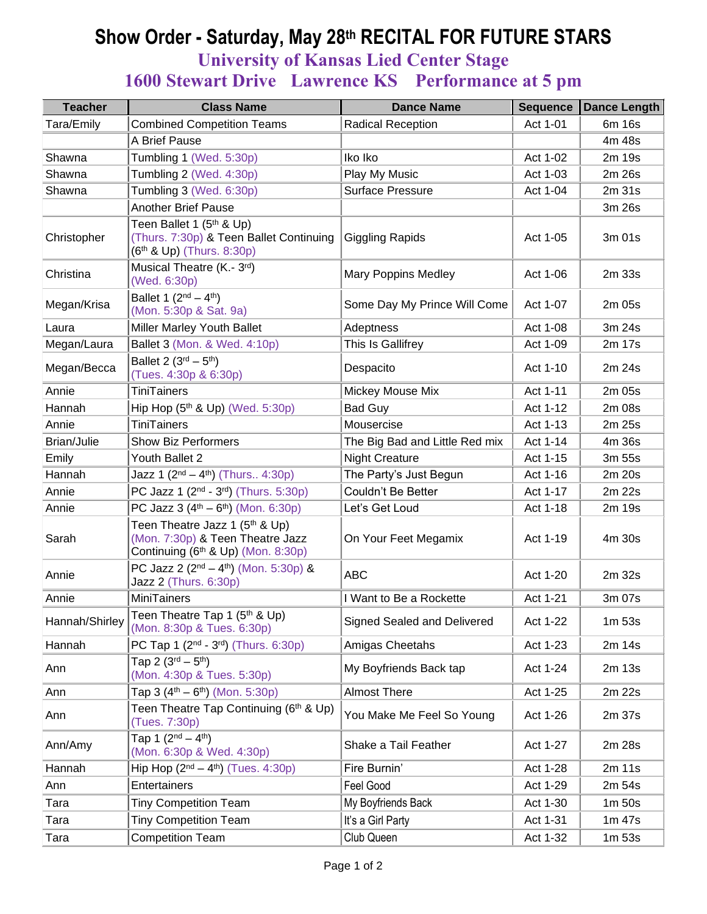## **Show Order - Saturday, May 28th RECITAL FOR FUTURE STARS**

**University of Kansas Lied Center Stage**

## **1600 Stewart Drive Lawrence KS Performance at 5 pm**

| <b>Teacher</b> | <b>Class Name</b>                                                                                                        | <b>Dance Name</b>              | <b>Sequence</b> | <b>Dance Length</b> |
|----------------|--------------------------------------------------------------------------------------------------------------------------|--------------------------------|-----------------|---------------------|
| Tara/Emily     | <b>Combined Competition Teams</b>                                                                                        | <b>Radical Reception</b>       | Act 1-01        | 6m 16s              |
|                | A Brief Pause                                                                                                            |                                |                 | 4m 48s              |
| Shawna         | Tumbling 1 (Wed. 5:30p)                                                                                                  | Iko Iko                        | Act 1-02        | 2m 19s              |
| Shawna         | Tumbling 2 (Wed. 4:30p)                                                                                                  | Play My Music                  | Act 1-03        | 2m 26s              |
| Shawna         | Tumbling 3 (Wed. 6:30p)                                                                                                  | <b>Surface Pressure</b>        | Act 1-04        | 2m 31s              |
|                | <b>Another Brief Pause</b>                                                                                               |                                |                 | 3m 26s              |
| Christopher    | Teen Ballet 1 (5 <sup>th</sup> & Up)<br>(Thurs. 7:30p) & Teen Ballet Continuing<br>(6 <sup>th</sup> & Up) (Thurs. 8:30p) | <b>Giggling Rapids</b>         | Act 1-05        | 3m 01s              |
| Christina      | Musical Theatre (K.- 3rd)<br>(Wed. 6:30p)                                                                                | <b>Mary Poppins Medley</b>     | Act 1-06        | 2m 33s              |
| Megan/Krisa    | Ballet 1 $(2^{nd} – 4^{th})$<br>(Mon. 5:30p & Sat. 9a)                                                                   | Some Day My Prince Will Come   | Act 1-07        | 2m 05s              |
| Laura          | Miller Marley Youth Ballet                                                                                               | Adeptness                      | Act 1-08        | 3m 24s              |
| Megan/Laura    | Ballet 3 (Mon. & Wed. 4:10p)                                                                                             | This Is Gallifrey              | Act 1-09        | 2m 17s              |
| Megan/Becca    | Ballet 2 $(3^{rd} - 5^{th})$<br>(Tues. 4:30p & 6:30p)                                                                    | Despacito                      | Act 1-10        | 2m 24s              |
| Annie          | <b>TiniTainers</b>                                                                                                       | Mickey Mouse Mix               | Act 1-11        | 2m 05s              |
| Hannah         | Hip Hop $(5th$ & Up) (Wed. 5:30p)                                                                                        | <b>Bad Guy</b>                 | Act 1-12        | 2m 08s              |
| Annie          | <b>TiniTainers</b>                                                                                                       | Mousercise                     | Act 1-13        | 2m 25s              |
| Brian/Julie    | <b>Show Biz Performers</b>                                                                                               | The Big Bad and Little Red mix | Act 1-14        | 4m 36s              |
| Emily          | Youth Ballet 2                                                                                                           | <b>Night Creature</b>          | Act 1-15        | 3m 55s              |
| Hannah         | Jazz 1 $(2^{nd} - 4^{th})$ (Thurs 4:30p)                                                                                 | The Party's Just Begun         | Act 1-16        | 2m 20s              |
| Annie          | PC Jazz 1 (2 <sup>nd</sup> - 3 <sup>rd</sup> ) (Thurs. 5:30p)                                                            | Couldn't Be Better             | Act 1-17        | 2m 22s              |
| Annie          | PC Jazz $3(4^{th} - 6^{th})$ (Mon. 6:30p)                                                                                | Let's Get Loud                 | Act 1-18        | 2m 19s              |
| Sarah          | Teen Theatre Jazz 1 (5 <sup>th</sup> & Up)<br>(Mon. 7:30p) & Teen Theatre Jazz<br>Continuing (6th & Up) (Mon. 8:30p)     | On Your Feet Megamix           | Act 1-19        | 4m 30s              |
| Annie          | PC Jazz 2 ( $2nd - 4th$ ) (Mon. 5:30p) &<br>Jazz 2 (Thurs. 6:30p)                                                        | <b>ABC</b>                     | Act 1-20        | 2m 32s              |
| Annie          | <b>MiniTainers</b>                                                                                                       | I Want to Be a Rockette        | Act 1-21        | 3m 07s              |
| Hannah/Shirley | Teen Theatre Tap 1 (5th & Up)<br>(Mon. 8:30p & Tues. 6:30p)                                                              | Signed Sealed and Delivered    | Act 1-22        | 1m 53s              |
| Hannah         | PC Tap 1 (2 <sup>nd</sup> - 3 <sup>rd</sup> ) (Thurs. 6:30p)                                                             | Amigas Cheetahs                | Act 1-23        | 2m 14s              |
| Ann            | Tap 2 $(3^{rd} - 5^{th})$<br>(Mon. 4:30p & Tues. 5:30p)                                                                  | My Boyfriends Back tap         | Act 1-24        | 2m 13s              |
| Ann            | Tap 3 $(4^{th} - 6^{th})$ (Mon. 5:30p)                                                                                   | <b>Almost There</b>            | Act 1-25        | 2m 22s              |
| Ann            | Teen Theatre Tap Continuing (6th & Up)<br>(Tues. 7:30p)                                                                  | You Make Me Feel So Young      | Act 1-26        | 2m 37s              |
| Ann/Amy        | Tap 1 $(2^{nd} - 4^{th})$<br>(Mon. 6:30p & Wed. 4:30p)                                                                   | Shake a Tail Feather           | Act 1-27        | 2m 28s              |
| Hannah         | Hip Hop $(2^{nd} – 4^{th})$ (Tues. 4:30p)                                                                                | Fire Burnin'                   | Act 1-28        | 2m 11s              |
| Ann            | Entertainers                                                                                                             | Feel Good                      | Act 1-29        | 2m 54s              |
| Tara           | <b>Tiny Competition Team</b>                                                                                             | My Boyfriends Back             | Act 1-30        | 1m 50s              |
| Tara           | <b>Tiny Competition Team</b>                                                                                             | It's a Girl Party              | Act 1-31        | 1m 47s              |
| Tara           | <b>Competition Team</b>                                                                                                  | Club Queen                     | Act 1-32        | 1m <sub>53s</sub>   |